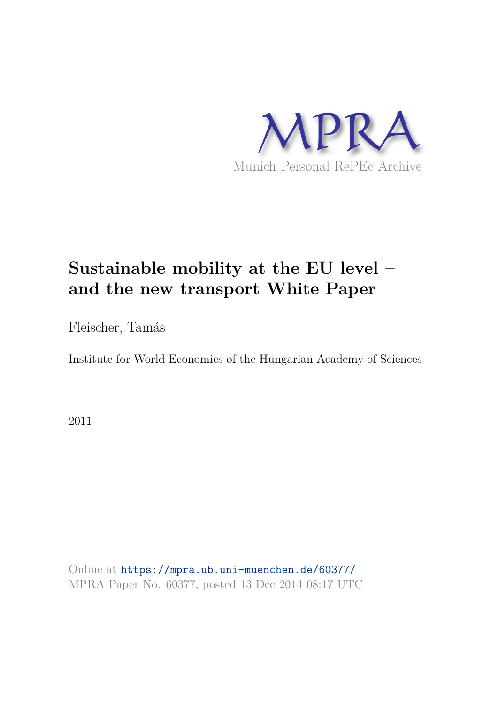

# **Sustainable mobility at the EU level – and the new transport White Paper**

Fleischer, Tamás

Institute for World Economics of the Hungarian Academy of Sciences

2011

Online at https://mpra.ub.uni-muenchen.de/60377/ MPRA Paper No. 60377, posted 13 Dec 2014 08:17 UTC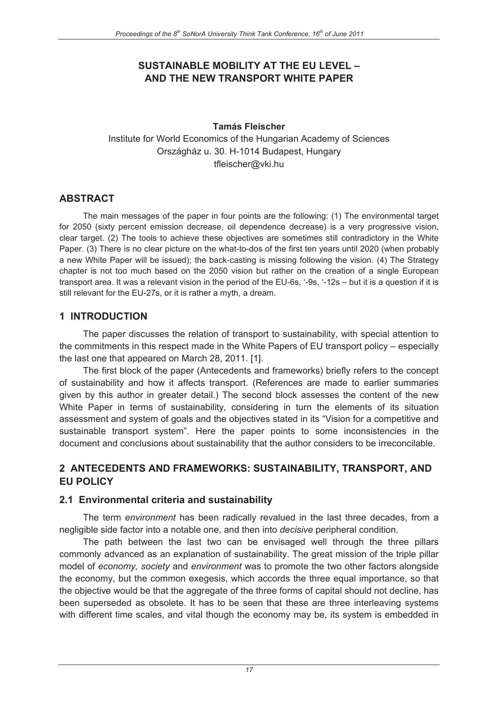#### **SUSTAINABLE MOBILITY AT THE EU LEVEL – AND THE NEW TRANSPORT WHITE PAPER**

#### **Tamás Fleischer**

Institute for World Economics of the Hungarian Academy of Sciences Országház u. 30. H-1014 Budapest, Hungary tfleischer@vki.hu

#### **ABSTRACT**

The main messages of the paper in four points are the following: (1) The environmental target for 2050 (sixty percent emission decrease, oil dependence decrease) is a very progressive vision, clear target. (2) The tools to achieve these objectives are sometimes still contradictory in the White Paper. (3) There is no clear picture on the what-to-dos of the first ten years until 2020 (when probably a new White Paper will be issued); the back-casting is missing following the vision. (4) The Strategy chapter is not too much based on the 2050 vision but rather on the creation of a single European transport area. It was a relevant vision in the period of the EU-6s, '-9s, '-12s – but it is a question if it is still relevant for the EU-27s, or it is rather a myth, a dream.

#### **1 INTRODUCTION**

The paper discusses the relation of transport to sustainability, with special attention to the commitments in this respect made in the White Papers of EU transport policy – especially the last one that appeared on March 28, 2011. [1].

The first block of the paper (Antecedents and frameworks) briefly refers to the concept of sustainability and how it affects transport. (References are made to earlier summaries given by this author in greater detail.) The second block assesses the content of the new White Paper in terms of sustainability, considering in turn the elements of its situation assessment and system of goals and the objectives stated in its "Vision for a competitive and sustainable transport system". Here the paper points to some inconsistencies in the document and conclusions about sustainability that the author considers to be irreconcilable.

#### **2 ANTECEDENTS AND FRAMEWORKS: SUSTAINABILITY, TRANSPORT, AND EU POLICY**

#### **2.1 Environmental criteria and sustainability**

The term *environment* has been radically revalued in the last three decades, from a negligible side factor into a notable one, and then into *decisive* peripheral condition.

The path between the last two can be envisaged well through the three pillars commonly advanced as an explanation of sustainability. The great mission of the triple pillar model of *economy, society* and *environment* was to promote the two other factors alongside the economy, but the common exegesis, which accords the three equal importance, so that the objective would be that the aggregate of the three forms of capital should not decline, has been superseded as obsolete. It has to be seen that these are three interleaving systems with different time scales, and vital though the economy may be, its system is embedded in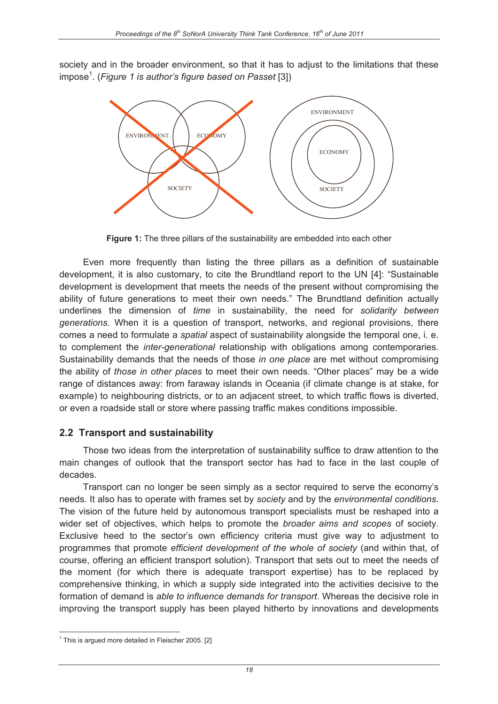society and in the broader environment, so that it has to adjust to the limitations that these impose<sup>1</sup> . (*Figure 1 is author's figure based on Passet* [3])



**Figure 1:** The three pillars of the sustainability are embedded into each other

Even more frequently than listing the three pillars as a definition of sustainable development, it is also customary, to cite the Brundtland report to the UN [4]: "Sustainable development is development that meets the needs of the present without compromising the ability of future generations to meet their own needs." The Brundtland definition actually underlines the dimension of *time* in sustainability, the need for *solidarity between generations*. When it is a question of transport, networks, and regional provisions, there comes a need to formulate a *spatial* aspect of sustainability alongside the temporal one, i. e. to complement the *inter-generational* relationship with obligations among contemporaries. Sustainability demands that the needs of those *in one place* are met without compromising the ability of *those in other places* to meet their own needs. "Other places" may be a wide range of distances away: from faraway islands in Oceania (if climate change is at stake, for example) to neighbouring districts, or to an adjacent street, to which traffic flows is diverted, or even a roadside stall or store where passing traffic makes conditions impossible.

#### **2.2 Transport and sustainability**

Those two ideas from the interpretation of sustainability suffice to draw attention to the main changes of outlook that the transport sector has had to face in the last couple of decades.

Transport can no longer be seen simply as a sector required to serve the economy's needs. It also has to operate with frames set by *society* and by the *environmental conditions*. The vision of the future held by autonomous transport specialists must be reshaped into a wider set of objectives, which helps to promote the *broader aims and scopes* of society. Exclusive heed to the sector's own efficiency criteria must give way to adjustment to programmes that promote *efficient development of the whole of society* (and within that, of course, offering an efficient transport solution). Transport that sets out to meet the needs of the moment (for which there is adequate transport expertise) has to be replaced by comprehensive thinking, in which a supply side integrated into the activities decisive to the formation of demand is *able to influence demands for transport*. Whereas the decisive role in improving the transport supply has been played hitherto by innovations and developments

 $\overline{a}$ <sup>1</sup> This is argued more detailed in Fleischer 2005. [2]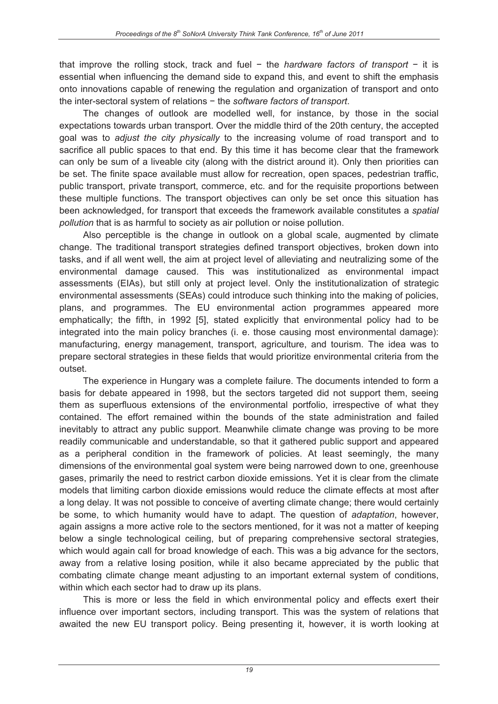that improve the rolling stock, track and fuel  $-$  the *hardware factors of transport*  $-$  it is essential when influencing the demand side to expand this, and event to shift the emphasis onto innovations capable of renewing the regulation and organization of transport and onto the inter-sectoral system of relations – the *software factors of transport*.

The changes of outlook are modelled well, for instance, by those in the social expectations towards urban transport. Over the middle third of the 20th century, the accepted goal was to *adjust the city physically* to the increasing volume of road transport and to sacrifice all public spaces to that end. By this time it has become clear that the framework can only be sum of a liveable city (along with the district around it). Only then priorities can be set. The finite space available must allow for recreation, open spaces, pedestrian traffic, public transport, private transport, commerce, etc. and for the requisite proportions between these multiple functions. The transport objectives can only be set once this situation has been acknowledged, for transport that exceeds the framework available constitutes a *spatial pollution* that is as harmful to society as air pollution or noise pollution.

Also perceptible is the change in outlook on a global scale, augmented by climate change. The traditional transport strategies defined transport objectives, broken down into tasks, and if all went well, the aim at project level of alleviating and neutralizing some of the environmental damage caused. This was institutionalized as environmental impact assessments (EIAs), but still only at project level. Only the institutionalization of strategic environmental assessments (SEAs) could introduce such thinking into the making of policies, plans, and programmes. The EU environmental action programmes appeared more emphatically; the fifth, in 1992 [5], stated explicitly that environmental policy had to be integrated into the main policy branches (i. e. those causing most environmental damage): manufacturing, energy management, transport, agriculture, and tourism. The idea was to prepare sectoral strategies in these fields that would prioritize environmental criteria from the outset.

The experience in Hungary was a complete failure. The documents intended to form a basis for debate appeared in 1998, but the sectors targeted did not support them, seeing them as superfluous extensions of the environmental portfolio, irrespective of what they contained. The effort remained within the bounds of the state administration and failed inevitably to attract any public support. Meanwhile climate change was proving to be more readily communicable and understandable, so that it gathered public support and appeared as a peripheral condition in the framework of policies. At least seemingly, the many dimensions of the environmental goal system were being narrowed down to one, greenhouse gases, primarily the need to restrict carbon dioxide emissions. Yet it is clear from the climate models that limiting carbon dioxide emissions would reduce the climate effects at most after a long delay. It was not possible to conceive of averting climate change; there would certainly be some, to which humanity would have to adapt. The question of *adaptation*, however, again assigns a more active role to the sectors mentioned, for it was not a matter of keeping below a single technological ceiling, but of preparing comprehensive sectoral strategies, which would again call for broad knowledge of each. This was a big advance for the sectors, away from a relative losing position, while it also became appreciated by the public that combating climate change meant adjusting to an important external system of conditions, within which each sector had to draw up its plans.

This is more or less the field in which environmental policy and effects exert their influence over important sectors, including transport. This was the system of relations that awaited the new EU transport policy. Being presenting it, however, it is worth looking at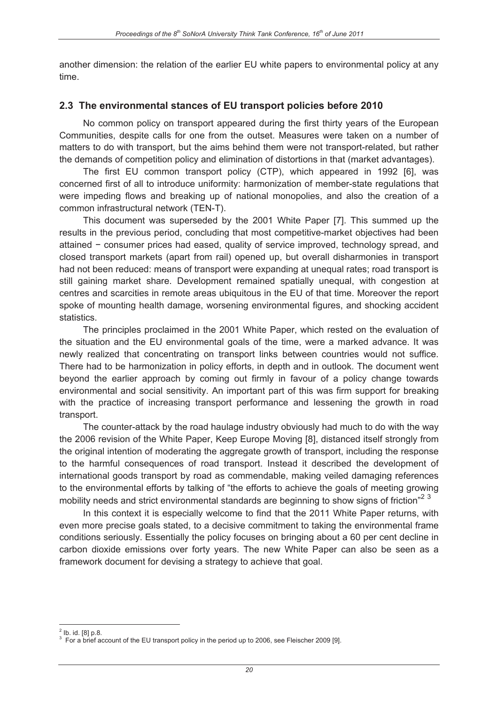another dimension: the relation of the earlier EU white papers to environmental policy at any time.

#### **2.3 The environmental stances of EU transport policies before 2010**

No common policy on transport appeared during the first thirty years of the European Communities, despite calls for one from the outset. Measures were taken on a number of matters to do with transport, but the aims behind them were not transport-related, but rather the demands of competition policy and elimination of distortions in that (market advantages).

The first EU common transport policy (CTP), which appeared in 1992 [6], was concerned first of all to introduce uniformity: harmonization of member-state regulations that were impeding flows and breaking up of national monopolies, and also the creation of a common infrastructural network (TEN-T).

This document was superseded by the 2001 White Paper [7]. This summed up the results in the previous period, concluding that most competitive-market objectives had been attained – consumer prices had eased, quality of service improved, technology spread, and closed transport markets (apart from rail) opened up, but overall disharmonies in transport had not been reduced: means of transport were expanding at unequal rates; road transport is still gaining market share. Development remained spatially unequal, with congestion at centres and scarcities in remote areas ubiquitous in the EU of that time. Moreover the report spoke of mounting health damage, worsening environmental figures, and shocking accident statistics.

The principles proclaimed in the 2001 White Paper, which rested on the evaluation of the situation and the EU environmental goals of the time, were a marked advance. It was newly realized that concentrating on transport links between countries would not suffice. There had to be harmonization in policy efforts, in depth and in outlook. The document went beyond the earlier approach by coming out firmly in favour of a policy change towards environmental and social sensitivity. An important part of this was firm support for breaking with the practice of increasing transport performance and lessening the growth in road transport.

The counter-attack by the road haulage industry obviously had much to do with the way the 2006 revision of the White Paper, Keep Europe Moving [8], distanced itself strongly from the original intention of moderating the aggregate growth of transport, including the response to the harmful consequences of road transport. Instead it described the development of international goods transport by road as commendable, making veiled damaging references to the environmental efforts by talking of "the efforts to achieve the goals of meeting growing mobility needs and strict environmental standards are beginning to show signs of friction<sup>"23</sup>

In this context it is especially welcome to find that the 2011 White Paper returns, with even more precise goals stated, to a decisive commitment to taking the environmental frame conditions seriously. Essentially the policy focuses on bringing about a 60 per cent decline in carbon dioxide emissions over forty years. The new White Paper can also be seen as a framework document for devising a strategy to achieve that goal.

 $\overline{a}$  $2$  lb. id. [8] p.8.

<sup>&</sup>lt;sup>3</sup> For a brief account of the EU transport policy in the period up to 2006, see Fleischer 2009 [9].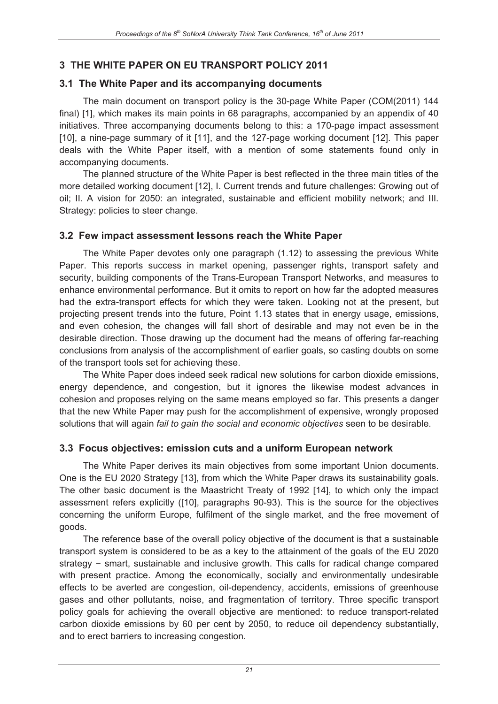#### **3 THE WHITE PAPER ON EU TRANSPORT POLICY 2011**

#### **3.1 The White Paper and its accompanying documents**

The main document on transport policy is the 30-page White Paper (COM(2011) 144 final) [1], which makes its main points in 68 paragraphs, accompanied by an appendix of 40 initiatives. Three accompanying documents belong to this: a 170-page impact assessment [10], a nine-page summary of it [11], and the 127-page working document [12]. This paper deals with the White Paper itself, with a mention of some statements found only in accompanying documents.

The planned structure of the White Paper is best reflected in the three main titles of the more detailed working document [12], I. Current trends and future challenges: Growing out of oil; II. A vision for 2050: an integrated, sustainable and efficient mobility network; and III. Strategy: policies to steer change.

#### **3.2 Few impact assessment lessons reach the White Paper**

The White Paper devotes only one paragraph (1.12) to assessing the previous White Paper. This reports success in market opening, passenger rights, transport safety and security, building components of the Trans-European Transport Networks, and measures to enhance environmental performance. But it omits to report on how far the adopted measures had the extra-transport effects for which they were taken. Looking not at the present, but projecting present trends into the future, Point 1.13 states that in energy usage, emissions, and even cohesion, the changes will fall short of desirable and may not even be in the desirable direction. Those drawing up the document had the means of offering far-reaching conclusions from analysis of the accomplishment of earlier goals, so casting doubts on some of the transport tools set for achieving these.

The White Paper does indeed seek radical new solutions for carbon dioxide emissions, energy dependence, and congestion, but it ignores the likewise modest advances in cohesion and proposes relying on the same means employed so far. This presents a danger that the new White Paper may push for the accomplishment of expensive, wrongly proposed solutions that will again *fail to gain the social and economic objectives* seen to be desirable.

#### **3.3 Focus objectives: emission cuts and a uniform European network**

The White Paper derives its main objectives from some important Union documents. One is the EU 2020 Strategy [13], from which the White Paper draws its sustainability goals. The other basic document is the Maastricht Treaty of 1992 [14], to which only the impact assessment refers explicitly ([10], paragraphs 90-93). This is the source for the objectives concerning the uniform Europe, fulfilment of the single market, and the free movement of goods.

The reference base of the overall policy objective of the document is that a sustainable transport system is considered to be as a key to the attainment of the goals of the EU 2020 strategy - smart, sustainable and inclusive growth. This calls for radical change compared with present practice. Among the economically, socially and environmentally undesirable effects to be averted are congestion, oil-dependency, accidents, emissions of greenhouse gases and other pollutants, noise, and fragmentation of territory. Three specific transport policy goals for achieving the overall objective are mentioned: to reduce transport-related carbon dioxide emissions by 60 per cent by 2050, to reduce oil dependency substantially, and to erect barriers to increasing congestion.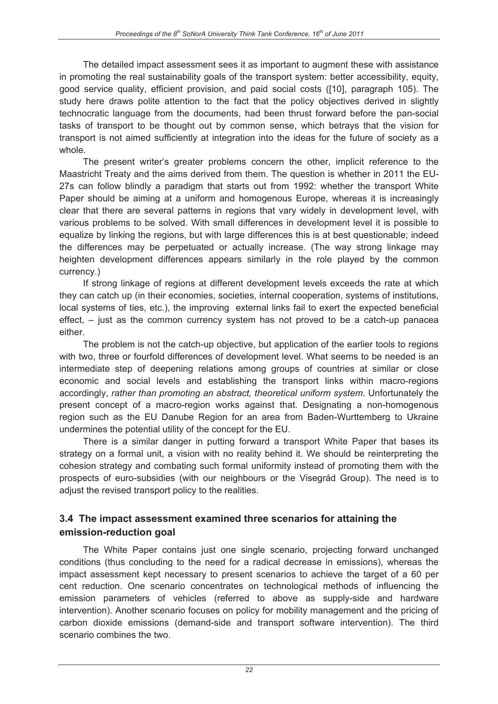The detailed impact assessment sees it as important to augment these with assistance in promoting the real sustainability goals of the transport system: better accessibility, equity, good service quality, efficient provision, and paid social costs ([10], paragraph 105). The study here draws polite attention to the fact that the policy objectives derived in slightly technocratic language from the documents, had been thrust forward before the pan-social tasks of transport to be thought out by common sense, which betrays that the vision for transport is not aimed sufficiently at integration into the ideas for the future of society as a whole.

The present writer's greater problems concern the other, implicit reference to the Maastricht Treaty and the aims derived from them. The question is whether in 2011 the EU-27s can follow blindly a paradigm that starts out from 1992: whether the transport White Paper should be aiming at a uniform and homogenous Europe, whereas it is increasingly clear that there are several patterns in regions that vary widely in development level, with various problems to be solved. With small differences in development level it is possible to equalize by linking the regions, but with large differences this is at best questionable; indeed the differences may be perpetuated or actually increase. (The way strong linkage may heighten development differences appears similarly in the role played by the common currency.)

If strong linkage of regions at different development levels exceeds the rate at which they can catch up (in their economies, societies, internal cooperation, systems of institutions, local systems of ties, etc.), the improving external links fail to exert the expected beneficial effect, – just as the common currency system has not proved to be a catch-up panacea either.

The problem is not the catch-up objective, but application of the earlier tools to regions with two, three or fourfold differences of development level. What seems to be needed is an intermediate step of deepening relations among groups of countries at similar or close economic and social levels and establishing the transport links within macro-regions accordingly, *rather than promoting an abstract, theoretical uniform system*. Unfortunately the present concept of a macro-region works against that. Designating a non-homogenous region such as the EU Danube Region for an area from Baden-Wurttemberg to Ukraine undermines the potential utility of the concept for the EU.

There is a similar danger in putting forward a transport White Paper that bases its strategy on a formal unit, a vision with no reality behind it. We should be reinterpreting the cohesion strategy and combating such formal uniformity instead of promoting them with the prospects of euro-subsidies (with our neighbours or the Visegrád Group). The need is to adjust the revised transport policy to the realities.

#### **3.4 The impact assessment examined three scenarios for attaining the emission-reduction goal**

The White Paper contains just one single scenario, projecting forward unchanged conditions (thus concluding to the need for a radical decrease in emissions), whereas the impact assessment kept necessary to present scenarios to achieve the target of a 60 per cent reduction. One scenario concentrates on technological methods of influencing the emission parameters of vehicles (referred to above as supply-side and hardware intervention). Another scenario focuses on policy for mobility management and the pricing of carbon dioxide emissions (demand-side and transport software intervention). The third scenario combines the two.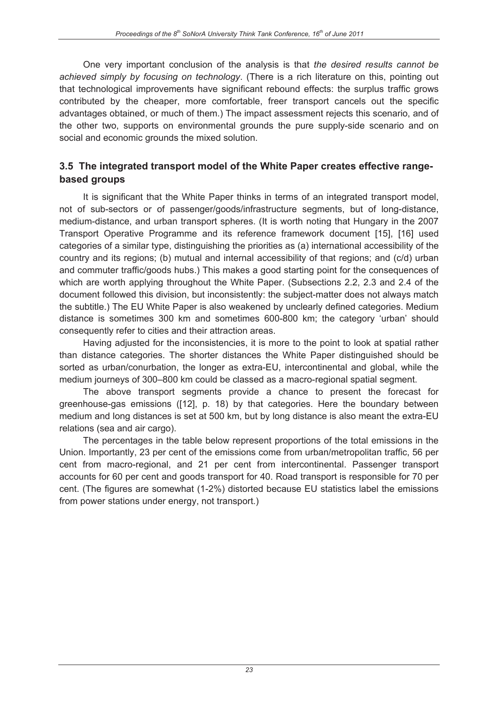One very important conclusion of the analysis is that *the desired results cannot be achieved simply by focusing on technology*. (There is a rich literature on this, pointing out that technological improvements have significant rebound effects: the surplus traffic grows contributed by the cheaper, more comfortable, freer transport cancels out the specific advantages obtained, or much of them.) The impact assessment rejects this scenario, and of the other two, supports on environmental grounds the pure supply-side scenario and on social and economic grounds the mixed solution.

#### **3.5 The integrated transport model of the White Paper creates effective rangebased groups**

It is significant that the White Paper thinks in terms of an integrated transport model, not of sub-sectors or of passenger/goods/infrastructure segments, but of long-distance, medium-distance, and urban transport spheres. (It is worth noting that Hungary in the 2007 Transport Operative Programme and its reference framework document [15], [16] used categories of a similar type, distinguishing the priorities as (a) international accessibility of the country and its regions; (b) mutual and internal accessibility of that regions; and (c/d) urban and commuter traffic/goods hubs.) This makes a good starting point for the consequences of which are worth applying throughout the White Paper. (Subsections 2.2, 2.3 and 2.4 of the document followed this division, but inconsistently: the subject-matter does not always match the subtitle.) The EU White Paper is also weakened by unclearly defined categories. Medium distance is sometimes 300 km and sometimes 600-800 km; the category 'urban' should consequently refer to cities and their attraction areas.

Having adjusted for the inconsistencies, it is more to the point to look at spatial rather than distance categories. The shorter distances the White Paper distinguished should be sorted as urban/conurbation, the longer as extra-EU, intercontinental and global, while the medium journeys of 300–800 km could be classed as a macro-regional spatial segment.

The above transport segments provide a chance to present the forecast for greenhouse-gas emissions ([12], p. 18) by that categories. Here the boundary between medium and long distances is set at 500 km, but by long distance is also meant the extra-EU relations (sea and air cargo).

The percentages in the table below represent proportions of the total emissions in the Union. Importantly, 23 per cent of the emissions come from urban/metropolitan traffic, 56 per cent from macro-regional, and 21 per cent from intercontinental. Passenger transport accounts for 60 per cent and goods transport for 40. Road transport is responsible for 70 per cent. (The figures are somewhat (1-2%) distorted because EU statistics label the emissions from power stations under energy, not transport.)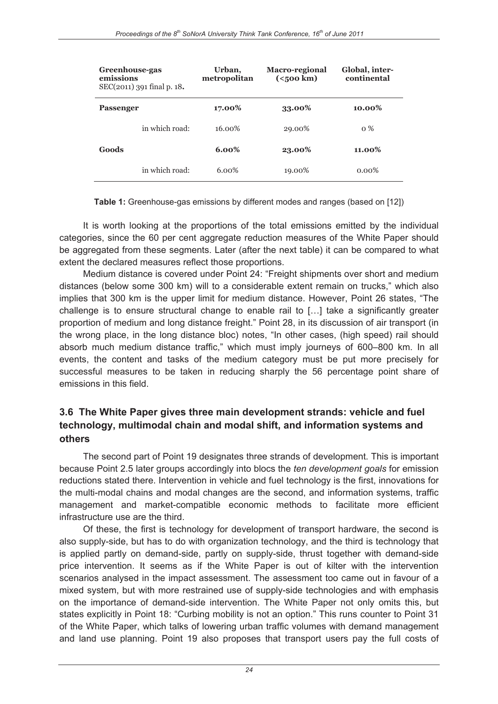| Greenhouse-gas<br>emissions<br>$SEC(2011)$ 391 final p. 18. |                | Urban,<br>metropolitan | <b>Macro-regional</b><br>( <sub>500</sub> km) | Global, inter-<br>continental |
|-------------------------------------------------------------|----------------|------------------------|-----------------------------------------------|-------------------------------|
| <b>Passenger</b>                                            |                | 17.00%                 | 33.00%                                        | $10.00\%$                     |
|                                                             | in which road: | $16.00\%$              | 29.00%                                        | $0\%$                         |
| Goods                                                       |                | $6.00\%$               | 23.00%                                        | 11.00%                        |
|                                                             | in which road: | $6.00\%$               | 19.00%                                        | $0.00\%$                      |

**Table 1:** Greenhouse-gas emissions by different modes and ranges (based on [12])

It is worth looking at the proportions of the total emissions emitted by the individual categories, since the 60 per cent aggregate reduction measures of the White Paper should be aggregated from these segments. Later (after the next table) it can be compared to what extent the declared measures reflect those proportions.

Medium distance is covered under Point 24: "Freight shipments over short and medium distances (below some 300 km) will to a considerable extent remain on trucks," which also implies that 300 km is the upper limit for medium distance. However, Point 26 states, "The challenge is to ensure structural change to enable rail to […] take a significantly greater proportion of medium and long distance freight." Point 28, in its discussion of air transport (in the wrong place, in the long distance bloc) notes, "In other cases, (high speed) rail should absorb much medium distance traffic," which must imply journeys of 600–800 km. In all events, the content and tasks of the medium category must be put more precisely for successful measures to be taken in reducing sharply the 56 percentage point share of emissions in this field.

#### **3.6 The White Paper gives three main development strands: vehicle and fuel technology, multimodal chain and modal shift, and information systems and others**

The second part of Point 19 designates three strands of development. This is important because Point 2.5 later groups accordingly into blocs the *ten development goals* for emission reductions stated there. Intervention in vehicle and fuel technology is the first, innovations for the multi-modal chains and modal changes are the second, and information systems, traffic management and market-compatible economic methods to facilitate more efficient infrastructure use are the third.

Of these, the first is technology for development of transport hardware, the second is also supply-side, but has to do with organization technology, and the third is technology that is applied partly on demand-side, partly on supply-side, thrust together with demand-side price intervention. It seems as if the White Paper is out of kilter with the intervention scenarios analysed in the impact assessment. The assessment too came out in favour of a mixed system, but with more restrained use of supply-side technologies and with emphasis on the importance of demand-side intervention. The White Paper not only omits this, but states explicitly in Point 18: "Curbing mobility is not an option." This runs counter to Point 31 of the White Paper, which talks of lowering urban traffic volumes with demand management and land use planning. Point 19 also proposes that transport users pay the full costs of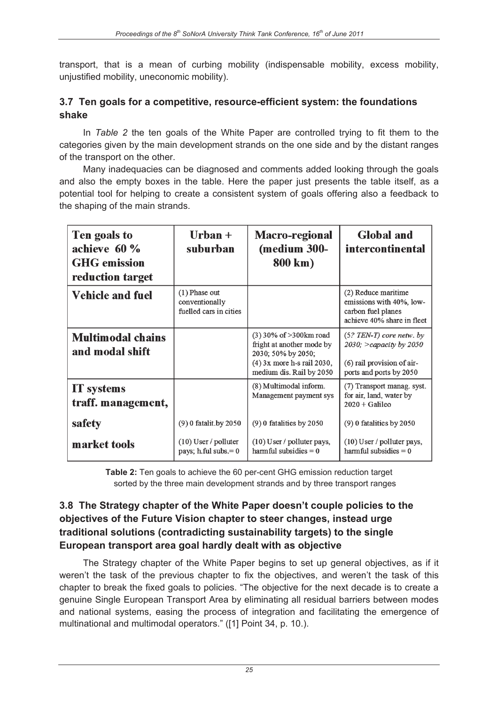transport, that is a mean of curbing mobility (indispensable mobility, excess mobility, unjustified mobility, uneconomic mobility).

#### **3.7 Ten goals for a competitive, resource-efficient system: the foundations shake**

In *Table 2* the ten goals of the White Paper are controlled trying to fit them to the categories given by the main development strands on the one side and by the distant ranges of the transport on the other.

Many inadequacies can be diagnosed and comments added looking through the goals and also the empty boxes in the table. Here the paper just presents the table itself, as a potential tool for helping to create a consistent system of goals offering also a feedback to the shaping of the main strands.

| Ten goals to<br>achieve 60 %<br><b>GHG</b> emission<br>reduction target | $Urban +$<br>suburban                                                   | <b>Macro-regional</b><br>(medium 300-<br>800 km)                                                                                      | <b>Global and</b><br><i>intercontinental</i>                                                                      |
|-------------------------------------------------------------------------|-------------------------------------------------------------------------|---------------------------------------------------------------------------------------------------------------------------------------|-------------------------------------------------------------------------------------------------------------------|
| <b>Vehicle and fuel</b>                                                 | $(1)$ Phase out<br>conventionally<br>fuelled cars in cities             |                                                                                                                                       | (2) Reduce maritime<br>emissions with 40%, low-<br>carbon fuel planes<br>achieve 40% share in fleet               |
| <b>Multimodal chains</b><br>and modal shift                             |                                                                         | (3) 30% of > 300 km road<br>fright at another mode by<br>2030; 50% by 2050;<br>(4) 3x more h-s rail 2030,<br>medium dis. Rail by 2050 | $(5?$ TEN-T) core netw. by<br>2030; > capacity by $2050$<br>(6) rail provision of air-<br>ports and ports by 2050 |
| <b>IT</b> systems<br>traff. management,                                 |                                                                         | (8) Multimodal inform.<br>Management payment sys                                                                                      | (7) Transport manag. syst.<br>for air, land, water by<br>$2020 + Galileo$                                         |
| safety<br>market tools                                                  | (9) 0 fatalit.by 2050<br>$(10)$ User / polluter<br>pays; h.ful subs.= 0 | $(9)$ 0 fatalities by 2050<br>(10) User / polluter pays,<br>harmful subsidies $= 0$                                                   | $(9)$ 0 fatalities by 2050<br>(10) User / polluter pays,<br>harmful subsidies $= 0$                               |

**Table 2:** Ten goals to achieve the 60 per-cent GHG emission reduction target sorted by the three main development strands and by three transport ranges

#### **3.8 The Strategy chapter of the White Paper doesn't couple policies to the objectives of the Future Vision chapter to steer changes, instead urge traditional solutions (contradicting sustainability targets) to the single European transport area goal hardly dealt with as objective**

The Strategy chapter of the White Paper begins to set up general objectives, as if it weren't the task of the previous chapter to fix the objectives, and weren't the task of this chapter to break the fixed goals to policies. "The objective for the next decade is to create a genuine Single European Transport Area by eliminating all residual barriers between modes and national systems, easing the process of integration and facilitating the emergence of multinational and multimodal operators." ([1] Point 34, p. 10.).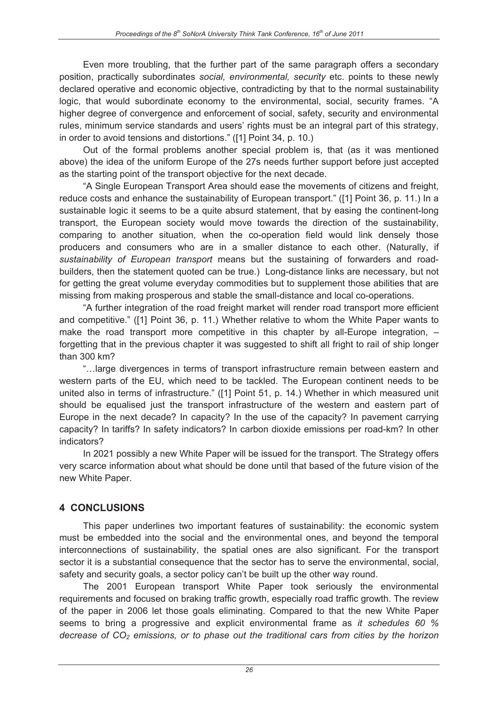Even more troubling, that the further part of the same paragraph offers a secondary position, practically subordinates *social, environmental, security* etc. points to these newly declared operative and economic objective, contradicting by that to the normal sustainability logic, that would subordinate economy to the environmental, social, security frames. "A higher degree of convergence and enforcement of social, safety, security and environmental rules, minimum service standards and users' rights must be an integral part of this strategy, in order to avoid tensions and distortions." ([1] Point 34, p. 10.)

Out of the formal problems another special problem is, that (as it was mentioned above) the idea of the uniform Europe of the 27s needs further support before just accepted as the starting point of the transport objective for the next decade.

"A Single European Transport Area should ease the movements of citizens and freight, reduce costs and enhance the sustainability of European transport." ([1] Point 36, p. 11.) In a sustainable logic it seems to be a quite absurd statement, that by easing the continent-long transport, the European society would move towards the direction of the sustainability, comparing to another situation, when the co-operation field would link densely those producers and consumers who are in a smaller distance to each other. (Naturally, if *sustainability of European transport* means but the sustaining of forwarders and roadbuilders, then the statement quoted can be true.) Long-distance links are necessary, but not for getting the great volume everyday commodities but to supplement those abilities that are missing from making prosperous and stable the small-distance and local co-operations.

"A further integration of the road freight market will render road transport more efficient and competitive." ([1] Point 36, p. 11.) Whether relative to whom the White Paper wants to make the road transport more competitive in this chapter by all-Europe integration,  $$ forgetting that in the previous chapter it was suggested to shift all fright to rail of ship longer than 300 km?

"…large divergences in terms of transport infrastructure remain between eastern and western parts of the EU, which need to be tackled. The European continent needs to be united also in terms of infrastructure." ([1] Point 51, p. 14.) Whether in which measured unit should be equalised just the transport infrastructure of the western and eastern part of Europe in the next decade? In capacity? In the use of the capacity? In pavement carrying capacity? In tariffs? In safety indicators? In carbon dioxide emissions per road-km? In other indicators?

In 2021 possibly a new White Paper will be issued for the transport. The Strategy offers very scarce information about what should be done until that based of the future vision of the new White Paper.

### **4 CONCLUSIONS**

This paper underlines two important features of sustainability: the economic system must be embedded into the social and the environmental ones, and beyond the temporal interconnections of sustainability, the spatial ones are also significant. For the transport sector it is a substantial consequence that the sector has to serve the environmental, social, safety and security goals, a sector policy can't be built up the other way round.

The 2001 European transport White Paper took seriously the environmental requirements and focused on braking traffic growth, especially road traffic growth. The review of the paper in 2006 let those goals eliminating. Compared to that the new White Paper seems to bring a progressive and explicit environmental frame as *it schedules 60 % decrease of CO2 emissions, or to phase out the traditional cars from cities by the horizon*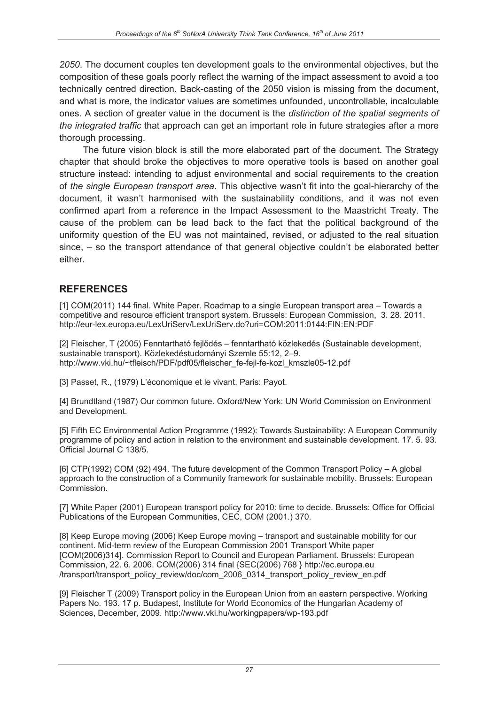*2050*. The document couples ten development goals to the environmental objectives, but the composition of these goals poorly reflect the warning of the impact assessment to avoid a too technically centred direction. Back-casting of the 2050 vision is missing from the document, and what is more, the indicator values are sometimes unfounded, uncontrollable, incalculable ones. A section of greater value in the document is the *distinction of the spatial segments of the integrated traffic* that approach can get an important role in future strategies after a more thorough processing.

The future vision block is still the more elaborated part of the document. The Strategy chapter that should broke the objectives to more operative tools is based on another goal structure instead: intending to adjust environmental and social requirements to the creation of *the single European transport area*. This objective wasn't fit into the goal-hierarchy of the document, it wasn't harmonised with the sustainability conditions, and it was not even confirmed apart from a reference in the Impact Assessment to the Maastricht Treaty. The cause of the problem can be lead back to the fact that the political background of the uniformity question of the EU was not maintained, revised, or adjusted to the real situation since, – so the transport attendance of that general objective couldn't be elaborated better either.

## **REFERENCES**

[1] COM(2011) 144 final. White Paper. Roadmap to a single European transport area – Towards a competitive and resource efficient transport system. Brussels: European Commission, 3. 28. 2011. http://eur-lex.europa.eu/LexUriServ/LexUriServ.do?uri=COM:2011:0144:FIN:EN:PDF

[2] Fleischer, T (2005) Fenntartható fejlődés – fenntartható közlekedés (Sustainable development, sustainable transport). Közlekedéstudományi Szemle 55:12, 2–9. http://www.vki.hu/~tfleisch/PDF/pdf05/fleischer\_fe-fejl-fe-kozl\_kmszle05-12.pdf

[3] Passet, R., (1979) L'économique et le vivant. Paris: Payot.

[4] Brundtland (1987) Our common future. Oxford/New York: UN World Commission on Environment and Development.

[5] Fifth EC Environmental Action Programme (1992): Towards Sustainability: A European Community programme of policy and action in relation to the environment and sustainable development. 17. 5. 93. Official Journal C 138/5.

[6] CTP(1992) COM (92) 494. The future development of the Common Transport Policy – A global approach to the construction of a Community framework for sustainable mobility. Brussels: European Commission.

[7] White Paper (2001) European transport policy for 2010: time to decide. Brussels: Office for Official Publications of the European Communities, CEC, COM (2001.) 370.

[8] Keep Europe moving (2006) Keep Europe moving – transport and sustainable mobility for our continent. Mid-term review of the European Commission 2001 Transport White paper [COM(2006)314]. Commission Report to Council and European Parliament. Brussels: European Commission, 22. 6. 2006. COM(2006) 314 final {SEC(2006) 768 } http://ec.europa.eu /transport/transport\_policy\_review/doc/com\_2006\_0314\_transport\_policy\_review\_en.pdf

[9] Fleischer T (2009) Transport policy in the European Union from an eastern perspective. Working Papers No. 193. 17 p. Budapest, Institute for World Economics of the Hungarian Academy of Sciences, December, 2009. http://www.vki.hu/workingpapers/wp-193.pdf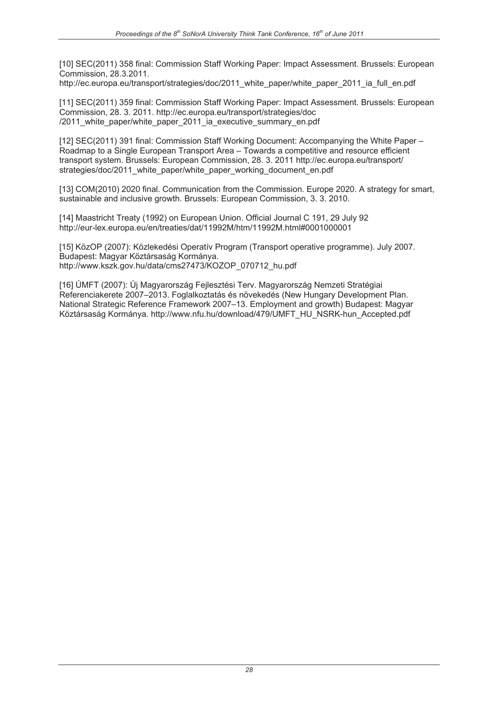[10] SEC(2011) 358 final: Commission Staff Working Paper: Impact Assessment. Brussels: European Commission, 28.3.2011.

http://ec.europa.eu/transport/strategies/doc/2011\_white\_paper/white\_paper\_2011\_ia\_full\_en.pdf

[11] SEC(2011) 359 final: Commission Staff Working Paper: Impact Assessment. Brussels: European Commission, 28. 3. 2011. http://ec.europa.eu/transport/strategies/doc /2011 white paper/white paper 2011 ia executive summary en.pdf

[12] SEC(2011) 391 final: Commission Staff Working Document: Accompanying the White Paper – Roadmap to a Single European Transport Area – Towards a competitive and resource efficient transport system. Brussels: European Commission, 28. 3. 2011 http://ec.europa.eu/transport/ strategies/doc/2011\_white\_paper/white\_paper\_working\_document\_en.pdf

[13] COM(2010) 2020 final. Communication from the Commission. Europe 2020. A strategy for smart, sustainable and inclusive growth. Brussels: European Commission, 3. 3. 2010.

[14] Maastricht Treaty (1992) on European Union. Official Journal C 191, 29 July 92 http://eur-lex.europa.eu/en/treaties/dat/11992M/htm/11992M.html#0001000001

[15] KözOP (2007): Közlekedési Operatív Program (Transport operative programme). July 2007. Budapest: Magyar Köztársaság Kormánya. http://www.kszk.gov.hu/data/cms27473/KOZOP\_070712\_hu.pdf

[16] ÚMFT (2007): Új Magyarország Fejlesztési Terv. Magyarország Nemzeti Stratégiai Referenciakerete 2007–2013. Foglalkoztatás és növekedés (New Hungary Development Plan. National Strategic Reference Framework 2007–13. Employment and growth) Budapest: Magyar Köztársaság Kormánya. http://www.nfu.hu/download/479/UMFT\_HU\_NSRK-hun\_Accepted.pdf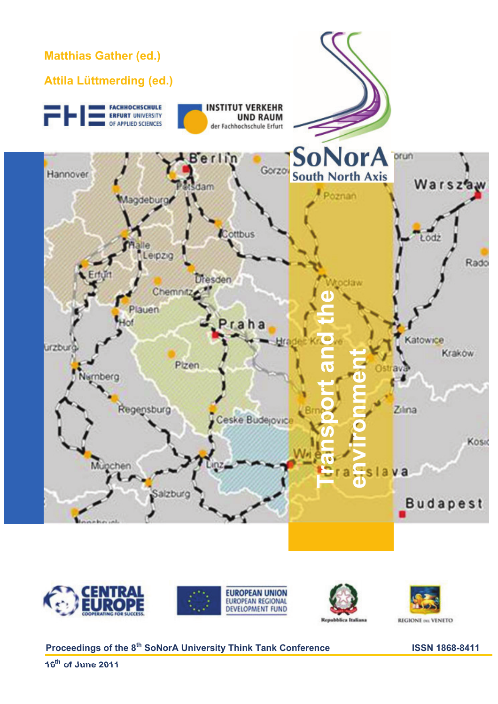



**Proceedings of the 8<sup>th</sup> SoNorA University Think Tank Conference ISSN 1868-8411** 

**16th of June 2011**